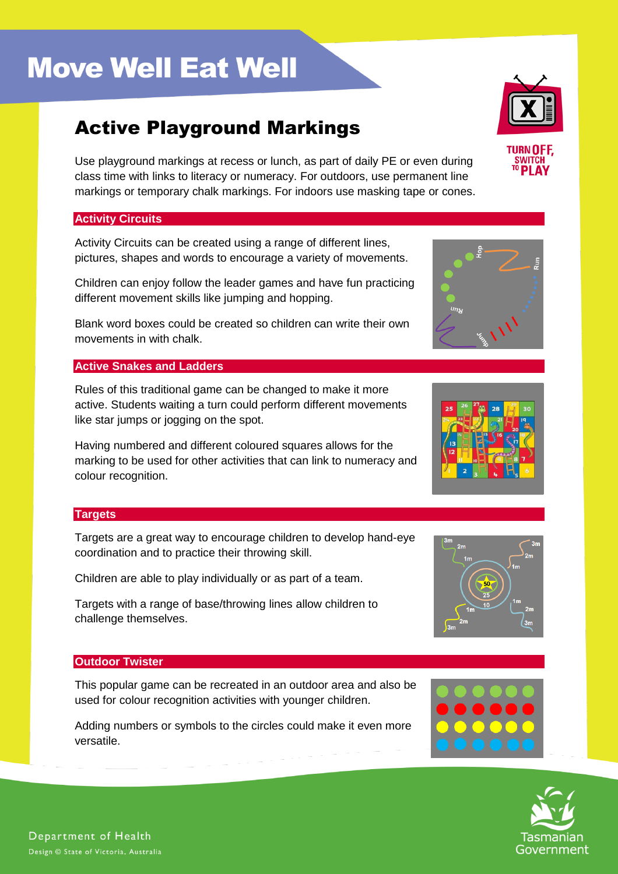# **Move Well Eat Well**

# Active Playground Markings

Use playground markings at recess or lunch, as part of daily PE or even during class time with links to literacy or numeracy. For outdoors, use permanent line markings or temporary chalk markings. For indoors use masking tape or cones.

## **Activity Circuits**

Activity Circuits can be created using a range of different lines, pictures, shapes and words to encourage a variety of movements.

Children can enjoy follow the leader games and have fun practicing different movement skills like jumping and hopping.

Blank word boxes could be created so children can write their own movements in with chalk.

## **Active Snakes and Ladders**

Rules of this traditional game can be changed to make it more active. Students waiting a turn could perform different movements like star jumps or jogging on the spot.

Having numbered and different coloured squares allows for the marking to be used for other activities that can link to numeracy and colour recognition.

### **Targets**

Targets are a great way to encourage children to develop hand-eye coordination and to practice their throwing skill.

Children are able to play individually or as part of a team.

Targets with a range of base/throwing lines allow children to challenge themselves.

# **Outdoor Twister**

This popular game can be recreated in an outdoor area and also be used for colour recognition activities with younger children.

Adding numbers or symbols to the circles could make it even more versatile.









TIIRN NE